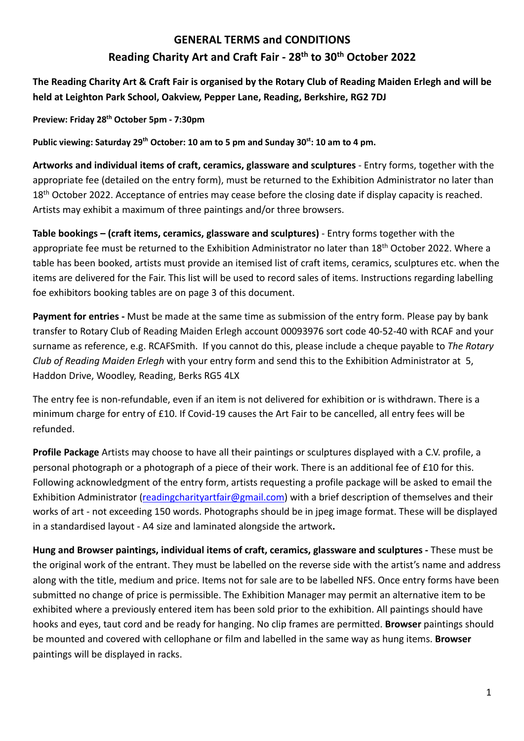# **GENERAL TERMS and CONDITIONS Reading Charity Art and Craft Fair - 28th to 30th October 2022**

**The Reading Charity Art & Craft Fair is organised by the Rotary Club of Reading Maiden Erlegh and will be held at Leighton Park School, Oakview, Pepper Lane, Reading, Berkshire, RG2 7DJ**

**Preview: Friday 28th October 5pm - 7:30pm** 

**Public viewing: Saturday 29th October: 10 am to 5 pm and Sunday 30st: 10 am to 4 pm.**

**Artworks and individual items of craft, ceramics, glassware and sculptures** - Entry forms, together with the appropriate fee (detailed on the entry form), must be returned to the Exhibition Administrator no later than 18<sup>th</sup> October 2022. Acceptance of entries may cease before the closing date if display capacity is reached. Artists may exhibit a maximum of three paintings and/or three browsers.

**Table bookings – (craft items, ceramics, glassware and sculptures)** - Entry forms together with the appropriate fee must be returned to the Exhibition Administrator no later than 18<sup>th</sup> October 2022. Where a table has been booked, artists must provide an itemised list of craft items, ceramics, sculptures etc. when the items are delivered for the Fair. This list will be used to record sales of items. Instructions regarding labelling foe exhibitors booking tables are on page 3 of this document.

**Payment for entries -** Must be made at the same time as submission of the entry form. Please pay by bank transfer to Rotary Club of Reading Maiden Erlegh account 00093976 sort code 40-52-40 with RCAF and your surname as reference, e.g. RCAFSmith. If you cannot do this, please include a cheque payable to *The Rotary Club of Reading Maiden Erlegh* with your entry form and send this to the Exhibition Administrator at 5, Haddon Drive, Woodley, Reading, Berks RG5 4LX

The entry fee is non-refundable, even if an item is not delivered for exhibition or is withdrawn. There is a minimum charge for entry of £10. If Covid-19 causes the Art Fair to be cancelled, all entry fees will be refunded.

**Profile Package** Artists may choose to have all their paintings or sculptures displayed with a C.V. profile, a personal photograph or a photograph of a piece of their work. There is an additional fee of £10 for this. Following acknowledgment of the entry form, artists requesting a profile package will be asked to email the Exhibition Administrator (readingcharityartfair@gmail.com) with a brief description of themselves and their works of art - not exceeding 150 words. Photographs should be in jpeg image format. These will be displayed in a standardised layout - A4 size and laminated alongside the artwork**.**

**Hung and Browser paintings, individual items of craft, ceramics, glassware and sculptures -** These must be the original work of the entrant. They must be labelled on the reverse side with the artist's name and address along with the title, medium and price. Items not for sale are to be labelled NFS. Once entry forms have been submitted no change of price is permissible. The Exhibition Manager may permit an alternative item to be exhibited where a previously entered item has been sold prior to the exhibition. All paintings should have hooks and eyes, taut cord and be ready for hanging. No clip frames are permitted. **Browser** paintings should be mounted and covered with cellophane or film and labelled in the same way as hung items. **Browser** paintings will be displayed in racks.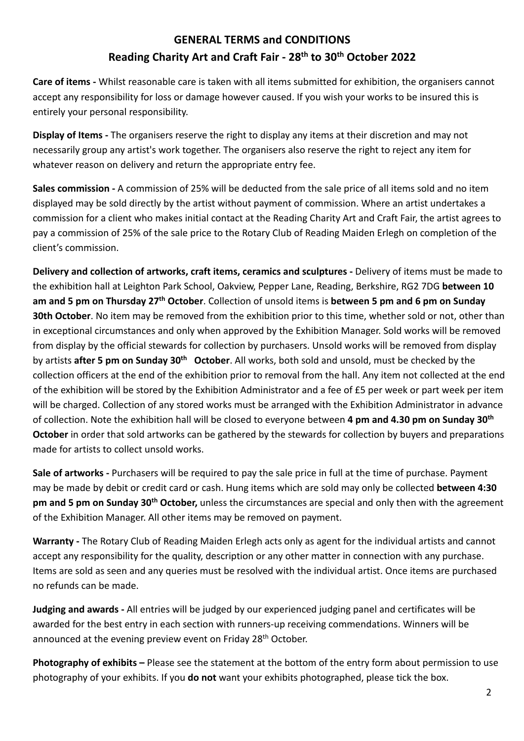# **GENERAL TERMS and CONDITIONS Reading Charity Art and Craft Fair - 28th to 30th October 2022**

**Care of items -** Whilst reasonable care is taken with all items submitted for exhibition, the organisers cannot accept any responsibility for loss or damage however caused. If you wish your works to be insured this is entirely your personal responsibility.

**Display of Items -** The organisers reserve the right to display any items at their discretion and may not necessarily group any artist's work together. The organisers also reserve the right to reject any item for whatever reason on delivery and return the appropriate entry fee.

**Sales commission -** A commission of 25% will be deducted from the sale price of all items sold and no item displayed may be sold directly by the artist without payment of commission. Where an artist undertakes a commission for a client who makes initial contact at the Reading Charity Art and Craft Fair, the artist agrees to pay a commission of 25% of the sale price to the Rotary Club of Reading Maiden Erlegh on completion of the client's commission.

**Delivery and collection of artworks, craft items, ceramics and sculptures -** Delivery of items must be made to the exhibition hall at Leighton Park School, Oakview, Pepper Lane, Reading, Berkshire, RG2 7DG **between 10 am and 5 pm on Thursday 27th October**. Collection of unsold items is **between 5 pm and 6 pm on Sunday 30th October**. No item may be removed from the exhibition prior to this time, whether sold or not, other than in exceptional circumstances and only when approved by the Exhibition Manager. Sold works will be removed from display by the official stewards for collection by purchasers. Unsold works will be removed from display by artists **after 5 pm on Sunday 30th October**. All works, both sold and unsold, must be checked by the collection officers at the end of the exhibition prior to removal from the hall. Any item not collected at the end of the exhibition will be stored by the Exhibition Administrator and a fee of £5 per week or part week per item will be charged. Collection of any stored works must be arranged with the Exhibition Administrator in advance of collection. Note the exhibition hall will be closed to everyone between **4 pm and 4.30 pm on Sunday 30th October** in order that sold artworks can be gathered by the stewards for collection by buyers and preparations made for artists to collect unsold works.

**Sale of artworks -** Purchasers will be required to pay the sale price in full at the time of purchase. Payment may be made by debit or credit card or cash. Hung items which are sold may only be collected **between 4:30 pm and 5 pm on Sunday 30th October,** unless the circumstances are special and only then with the agreement of the Exhibition Manager. All other items may be removed on payment.

**Warranty -** The Rotary Club of Reading Maiden Erlegh acts only as agent for the individual artists and cannot accept any responsibility for the quality, description or any other matter in connection with any purchase. Items are sold as seen and any queries must be resolved with the individual artist. Once items are purchased no refunds can be made.

**Judging and awards -** All entries will be judged by our experienced judging panel and certificates will be awarded for the best entry in each section with runners-up receiving commendations. Winners will be announced at the evening preview event on Friday 28<sup>th</sup> October.

**Photography of exhibits –** Please see the statement at the bottom of the entry form about permission to use photography of your exhibits. If you **do not** want your exhibits photographed, please tick the box.